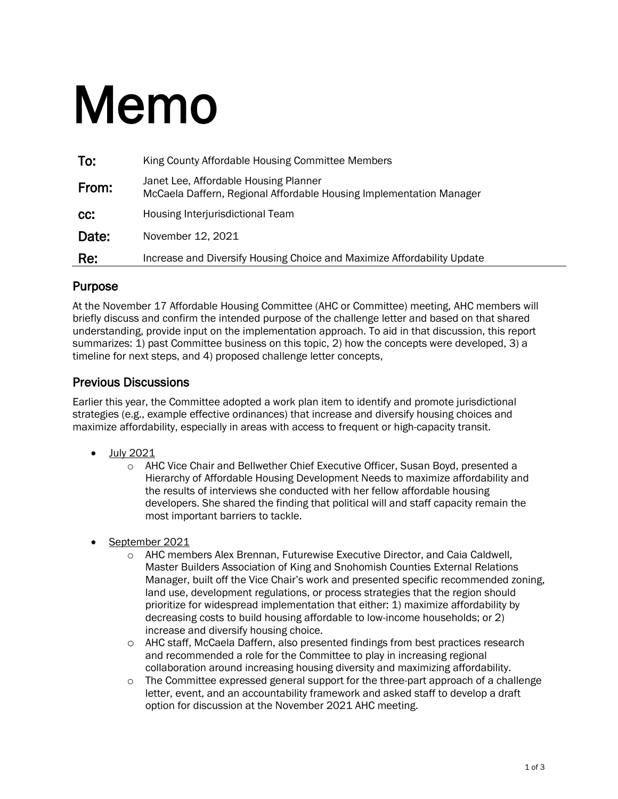# Memo

| To:   | King County Affordable Housing Committee Members                                                             |
|-------|--------------------------------------------------------------------------------------------------------------|
| From: | Janet Lee, Affordable Housing Planner<br>McCaela Daffern, Regional Affordable Housing Implementation Manager |
| CC:   | <b>Housing Interjurisdictional Team</b>                                                                      |
| Date: | November 12, 2021                                                                                            |
| Re:   | Increase and Diversify Housing Choice and Maximize Affordability Update                                      |

## Purpose

At the November 17 Affordable Housing Committee (AHC or Committee) meeting, AHC members will briefly discuss and confirm the intended purpose of the challenge letter and based on that shared understanding, provide input on the implementation approach. To aid in that discussion, this report summarizes: 1) past Committee business on this topic, 2) how the concepts were developed, 3) a timeline for next steps, and 4) proposed challenge letter concepts,

## Previous Discussions

Earlier this year, the Committee adopted a work plan item to identify and promote jurisdictional strategies (e.g., example effective ordinances) that increase and diversify housing choices and maximize affordability, especially in areas with access to frequent or high-capacity transit.

- July 2021
	- o AHC Vice Chair and Bellwether Chief Executive Officer, Susan Boyd, presented a Hierarchy of Affordable Housing Development Needs to maximize affordability and the results of interviews she conducted with her fellow affordable housing developers. She shared the finding that political will and staff capacity remain the most important barriers to tackle.
- September 2021
	- o AHC members Alex Brennan, Futurewise Executive Director, and Caia Caldwell, Master Builders Association of King and Snohomish Counties External Relations Manager, built off the Vice Chair's work and presented specific recommended zoning, land use, development regulations, or process strategies that the region should prioritize for widespread implementation that either: 1) maximize affordability by decreasing costs to build housing affordable to low-income households; or 2) increase and diversify housing choice.
	- o AHC staff, McCaela Daffern, also presented findings from best practices research and recommended a role for the Committee to play in increasing regional collaboration around increasing housing diversity and maximizing affordability.
	- $\circ$  The Committee expressed general support for the three-part approach of a challenge letter, event, and an accountability framework and asked staff to develop a draft option for discussion at the November 2021 AHC meeting.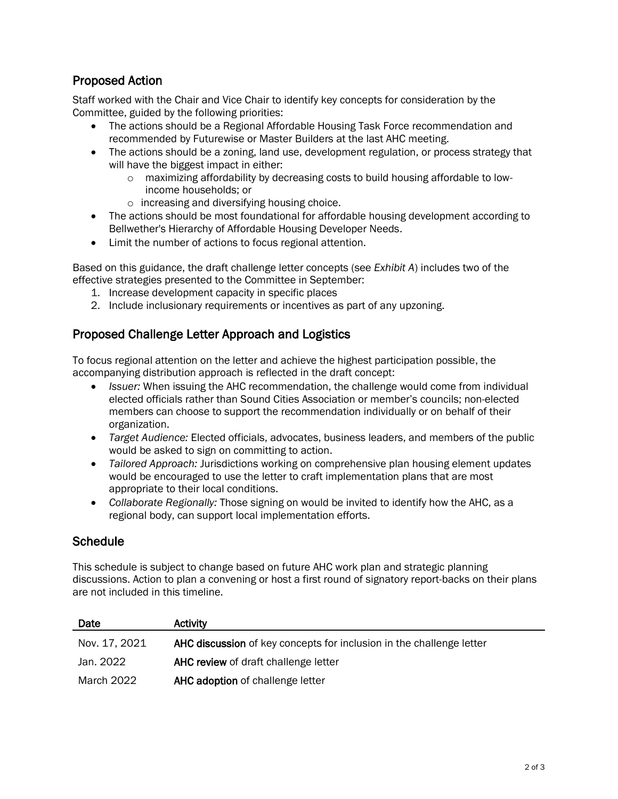## Proposed Action

Staff worked with the Chair and Vice Chair to identify key concepts for consideration by the Committee, guided by the following priorities:

- The actions should be a Regional Affordable Housing Task Force recommendation and recommended by Futurewise or Master Builders at the last AHC meeting.
- The actions should be a zoning, land use, development regulation, or process strategy that will have the biggest impact in either:
	- o maximizing affordability by decreasing costs to build housing affordable to lowincome households; or
	- o increasing and diversifying housing choice.
- The actions should be most foundational for affordable housing development according to Bellwether's Hierarchy of Affordable Housing Developer Needs.
- Limit the number of actions to focus regional attention.

Based on this guidance, the draft challenge letter concepts (see *Exhibit A*) includes two of the effective strategies presented to the Committee in September:

- 1. Increase development capacity in specific places
- 2. Include inclusionary requirements or incentives as part of any upzoning.

## Proposed Challenge Letter Approach and Logistics

To focus regional attention on the letter and achieve the highest participation possible, the accompanying distribution approach is reflected in the draft concept:

- *Issuer:* When issuing the AHC recommendation, the challenge would come from individual elected officials rather than Sound Cities Association or member's councils; non-elected members can choose to support the recommendation individually or on behalf of their organization.
- *Target Audience:* Elected officials, advocates, business leaders, and members of the public would be asked to sign on committing to action.
- *Tailored Approach:* Jurisdictions working on comprehensive plan housing element updates would be encouraged to use the letter to craft implementation plans that are most appropriate to their local conditions.
- *Collaborate Regionally:* Those signing on would be invited to identify how the AHC, as a regional body, can support local implementation efforts.

### **Schedule**

This schedule is subject to change based on future AHC work plan and strategic planning discussions. Action to plan a convening or host a first round of signatory report-backs on their plans are not included in this timeline.

| Date          | <b>Activity</b>                                                      |
|---------------|----------------------------------------------------------------------|
| Nov. 17, 2021 | AHC discussion of key concepts for inclusion in the challenge letter |
| Jan. 2022     | <b>AHC review of draft challenge letter</b>                          |
| March 2022    | AHC adoption of challenge letter                                     |